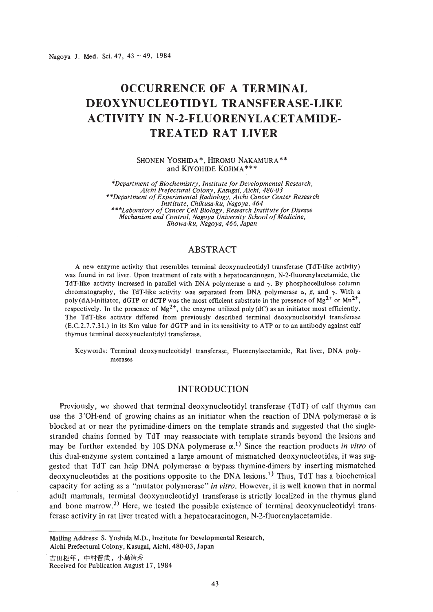Nagoya J. Med. Sci. 47, 43 ~ 49, 1984

# **OCCURRENCE OF A TERMINAL DEOXYNUCLEOTIDYL TRANSFERASE-LIKE ACTIVITY IN N-2-FLUORENYLACETAMIDE-TREATED RAT LIVER**

SHONEN YOSHIDA\*, HIROMU NAKAMURA\*\* and KIYOHIDE KOJIMA \*\*\*

*'"Department ofBiochemistry, Institute for Developmental Research, Aichi Prefectural Colony, Kasugai, Aichi, 480-03 \*\*Department ofExperimental Radiology, Aichi Cancer Center Research Institute, Chikusa-ku, Nagoya, 464 \*\*\*Laboratory ofCancer Cell Biology, Research Institute for Disease Mechanism and Control, Nagoya University School of Medicine, Showa-ku, Nagoya,* 466, *Japan*

# ABSTRACT

A new enzyme activity that resembles terminal deoxynucleotidyl transferase (TdT-like activity) was found in rat liver. Upon treatment of rats with a hepatocarcinogen, N-2-fluorenylacetamide, the TdT-like activity increased in parallel with DNA polymerase  $\alpha$  and  $\gamma$ . By phosphocellulose column chromatography, the TdT-like activity was separated from DNA polymerase  $\alpha$ ,  $\beta$ , and  $\gamma$ . With a poly(dA)-initiator, dGTP or dCTP was the most efficient substrate in the presence of  $Mg^{2+}$  or  $Mn^{2+}$ , respectively. In the presence of  $Mg^{2+}$ , the enzyme utilized poly (dC) as an initiator most efficiently. The TdT-like activity differed from previously described terminal deoxynucleotidyl transferase (E.C.2.7.7.31.) in its Km value for dGTP and in its sensitivity to ATP or to an antibody against calf thymus terminal deoxynucleotidyl transferase.

Keywords: Terminal deoxynucleotidyl transferase, Fluorenylacetamide, Rat liver, DNA polymerases

## INTRODUCTION

Previously, we showed that terminal deoxynucleotidyl transferase (TdT) of calf thymus can use the 3<sup>'</sup>OH-end of growing chains as an initiator when the reaction of DNA polymerase  $\alpha$  is blocked at or near the pyrimidine-dimers on the template strands and suggested that the singlestranded chains formed by TdT may reassociate with template strands beyond the lesions and may be further extended by 10S DNA polymerase  $\alpha$ <sup>1</sup>) Since the reaction products *in vitro* of this dual-enzyme system contained a large amount of mismatched deoxynucleotides, it was suggested that TdT can help DNA polymerase  $\alpha$  bypass thymine-dimers by inserting mismatched deoxynucleotides at the positions opposite to the DNA lesions.<sup>1)</sup> Thus, TdT has a biochemical capacity for acting as a "mutator polymerase" *in vitro.* However, it is well known that in normal adult mammals, terminal deoxynucleotidyl transferase is strictly localized in the thymus gland and bone marrow.<sup>2)</sup> Here, we tested the possible existence of terminal deoxynucleotidyl transferase activity in rat liver treated with a hepatocaracinogen, N-2-fluorenylacetamide.

Mailing Address: S. Yoshida M.D., Institute for Developmental Research,

Aichi Prefectural Colony, Kasugai, Aichi, 480-03, Japan

吉田松年, 中村普武, 小島清秀

Received for Publication August 17, 1984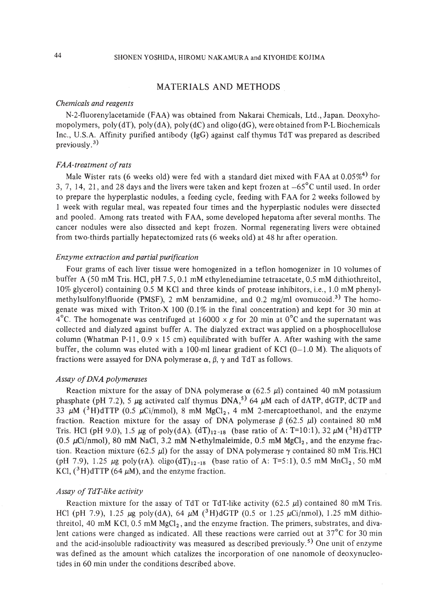## MATERIALS AND METHODS

#### *Chemicals and reagents*

N-2-fluorenylacetamide (FAA) was obtained from Nakarai Chemicals, Ltd., Japan. Deoxyhomopolymers,  $poly(dT)$ ,  $poly(dA)$ ,  $poly(dC)$  and oligo (dG), were obtained from P-L Biochemicals Inc., U.S.A. Affinity purified antibody (IgG) against calf thymus TdT was prepared as described previously. $3$ )

#### *FAA-treatment ofrats*

Male Wister rats (6 weeks old) were fed with a standard diet mixed with FAA at  $0.05\%$ <sup>4)</sup> for 3, 7, 14, 21, and 28 days and the livers were taken and kept frozen at  $-65^{\circ}$ C until used. In order to prepare the hyperplastic nodules, a feeding cycle, feeding with FAA for 2 weeks followed by 1 week with regular meal, was repeated four times and the hyperplastic nodules were dissected and pooled. Among rats treated with FAA, some developed hepatoma after several months. The cancer nodules were also dissected and kept frozen. Normal regenerating livers were obtained from two-thirds partially hepatectomized rats (6 weeks old) at 48 hr after operation.

#### *Enzyme extraction and partial purification*

Four grams of each liver tissue were homogenized in a teflon homogenizer in 10 volumes of buffer A (50 mM Tris. HCI, pH 7.5, 0.1 mM ethylenediamine tetraacetate, 0.5 mM dithiothreitol, 10% glycerol) containing 0.5 M KCl and three kinds of protease inhibitors, i.e., 1.0 mM phenylmethylsulfonylfluoride (PMSF), 2 mM benzamidine, and  $0.2 \text{ mg/ml}$  ovomucoid.<sup>3)</sup> The homogenate was mixed with Triton-X 100  $(0.1\%$  in the final concentration) and kept for 30 min at  $4^{\circ}$ C. The homogenate was centrifuged at 16000 x g for 20 min at 0<sup>o</sup>C and the supernatant was collected and dialyzed against buffer A. The dialyzed extract was applied on a phosphocellulose column (Whatman P-11, 0.9  $\times$  15 cm) equilibrated with buffer A. After washing with the same buffer, the column was eluted with a 100-ml linear gradient of KCl  $(0-1.0 M)$ . The aliquots of fractions were assayed for DNA polymerase  $\alpha$ ,  $\beta$ ,  $\gamma$  and TdT as follows.

#### *Assay ofDNA polymerases*

Reaction mixture for the assay of DNA polymerase  $\alpha$  (62.5  $\mu$ l) contained 40 mM potassium phasphate (pH 7.2), 5  $\mu$ g activated calf thymus DNA,<sup>5)</sup> 64  $\mu$ M each of dATP, dGTP, dCTP and 33  $\mu$ M (<sup>3</sup>H)dTTP (0.5  $\mu$ Ci/mmol), 8 mM MgCl<sub>2</sub>, 4 mM 2-mercaptoethanol, and the enzyme fraction. Reaction mixture for the assay of DNA polymerase  $\beta$  (62.5 µl) contained 80 mM Tris. HCl (pH 9.0), 1.5  $\mu$ g of poly(dA). (dT)<sub>12-18</sub> (base ratio of A: T=10:1), 32  $\mu$ M (<sup>3</sup>H)dTTP  $(0.5 \mu\text{Ci/mol})$ , 80 mM NaCl, 3.2 mM N-ethylmaleimide, 0.5 mM MgCl<sub>2</sub>, and the enzyme fraction. Reaction mixture (62.5  $\mu$ ) for the assay of DNA polymerase  $\gamma$  contained 80 mM Tris.HCl (pH 7.9), 1.25  $\mu$ g poly (rA). oligo (dT)<sub>12-18</sub> (base ratio of A: T=5:1), 0.5 mM MnCl<sub>2</sub>, 50 mM KCl,  $({}^{3}H)$ dTTP (64  $\mu$ M), and the enzyme fraction.

#### *Assay of TdT-like activity*

Reaction mixture for the assay of TdT or TdT-like activity  $(62.5 \mu l)$  contained 80 mM Tris. HCl (pH 7.9), 1.25  $\mu$ g poly(dA), 64  $\mu$ M (<sup>3</sup>H)dGTP (0.5 or 1.25  $\mu$ Ci/nmol), 1.25 mM dithiothreitol, 40 mM KCl, 0.5 mM  $MgCl<sub>2</sub>$ , and the enzyme fraction. The primers, substrates, and divalent cations were changed as indicated. All these reactions were carried out at 37°C for 30 min and the acid-insoluble radioactivity was measured as described previously.<sup>5)</sup> One unit of enzyme was defined as the amount which catalizes the incorporation of one nanomole of deoxynucleotides in 60 min under the conditions described above.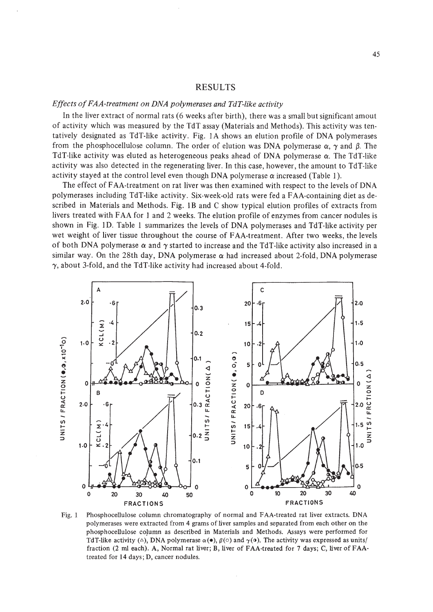## RESULTS

## *Effects ofFAA-treatment on DNA polymerases and TdT-like activity*

In the liver extract of normal rats (6 weeks after birth), there was a small but significant amout of activity which was measured by the TdT assay (Materials and Methods). This activity was tentatively designated as TdT-like activity. Fig. IA shows an elution profile of DNA polymerases from the phosphocellulose column. The order of elution was DNA polymerase  $\alpha$ ,  $\gamma$  and  $\beta$ . The TdT-like activity was eluted as heterogeneous peaks ahead of DNA polymerase  $\alpha$ . The TdT-like activity was also detected in the regenerating liver. In this case, however, the amount to TdT-like activity stayed at the control level even though DNA polymerase  $\alpha$  increased (Table 1).

The effect of FAA-treatment on rat liver was then examined with respect to the levels of DNA polymerases including TdT-like activity. Six-week-old rats were fed a FAA-containing diet as described in Materials and Methods. Fig. 1B and C show typical elution profiles of extracts from livers treated with FAA for 1 and 2 weeks. The elution profile of enzymes from cancer nodules is shown in Fig. 1D. Table I summarizes the levels of DNA polymerases and TdT-like activity per wet weight of liver tissue throughout the course of FAA-treatment. After two weeks, the levels of both DNA polymerase  $\alpha$  and  $\gamma$  started to increase and the TdT-like activity also increased in a similar way. On the 28th day, DNA polymerase  $\alpha$  had increased about 2-fold, DNA polymerase  $\gamma$ , about 3-fold, and the TdT-like activity had increased about 4-fold.



Fig. 1 Phosphocellulose column chromatography of normal and FAA-treated rat liver extracts. DNA polymerases were extracted from 4 grams of liver samples and separated from each other on the phosphocellulose coJumn as described in Materials and Methods. Assays were performed for TdT-like activity ( $\triangle$ ), DNA polymerase  $\alpha(\bullet)$ ,  $\beta(\circ)$  and  $\gamma(\bullet)$ . The activity was expressed as units/ fraction (2 ml each). A, Normal rat liver; B, liver of FAA-treated for 7 days; C, liver of FAAtreated for 14 days; D, cancer nodules.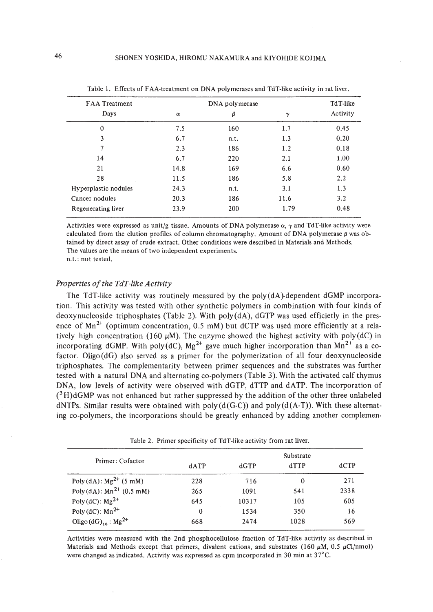| <b>FAA</b> Treatment | DNA polymerase |      |          | TdT-like |
|----------------------|----------------|------|----------|----------|
| Days                 | $\alpha$       | β    | $\gamma$ | Activity |
| 0                    | 7.5            | 160  | 1.7      | 0.45     |
| 3                    | 6.7            | n.t. | 1.3      | 0.20     |
| 7                    | 2.3            | 186  | 1.2      | 0.18     |
| 14                   | 6.7            | 220  | 2.1      | 1.00     |
| 21                   | 14.8           | 169  | 6.6      | 0.60     |
| 28                   | 11.5           | 186  | 5.8      | 2.2      |
| Hyperplastic nodules | 24.3           | n.t. | 3.1      | 1.3      |
| Cancer nodules       | 20.3           | 186  | 11.6     | 3.2      |
| Regenerating liver   | 23.9           | 200  | 1.79     | 0.48     |

Table 1. Effects of FAA-treatment on DNA polymerases and TdT-like activity in rat liver.

Activities were expressed as unit/g tissue. Amounts of DNA polymerase  $\alpha$ ,  $\gamma$  and TdT-like activity were calculated from the elution profiles of column chromatography. Amount of DNA polymerase  $\beta$  was obtained by direct assay of crude extract. Other conditions were described in Materials and Methods. The values are the means of two independent experiments.

n.t.: not tested.

#### *Properties* of the TdT-like Activity

The TdT-like activity was routinely measured by the poly(dA)-dependent dGMP incorporation. This activity was tested with other synthetic polymers in combination with four kinds of deoxynucleoside triphosphates (Table 2). With poly(dA), dGTP was used efficietly in the presence of  $Mn^{2+}$  (optimum concentration, 0.5 mM) but dCTP was used more efficiently at a relatively high concentration (160  $\mu$ M). The enzyme showed the highest activity with poly(dC) in incorporating dGMP. With poly(dC),  $Mg^{2+}$  gave much higher incorporation than  $Mn^{2+}$  as a cofactor. Oligo(dG) also served as a primer for the polymerization of all four deoxynucleoside triphosphates. The complementarity between primer sequences and the substrates was further tested with a natural DNA and alternating co-polymers (Table 3). With the activated calf thymus DNA, low levels of activity were observed with dGTP, dTTP and dATP. The incorporation of  $({}^{3}H)$ dGMP was not enhanced but rather suppressed by the addition of the other three unlabeled dNTPs. Similar results were obtained with poly  $(d(G-C))$  and poly  $(d(A-T))$ . With these alternating co-polymers, the incorporations should be greatly enhanced by adding another complemen-

| Primer: Cofactor                     | Substrate |       |      |      |
|--------------------------------------|-----------|-------|------|------|
|                                      | dATP      | dGTP  | dTTP | dCTP |
| Poly (dA): $Mg^{2+}$ (5 mM)          | 228       | 716   | 0    | 271  |
| Poly (dA): $Mn^{2+}$ (0.5 mM)        | 265       | 1091  | 541  | 2338 |
| Poly (dC): $Mg^{2+}$                 | 645       | 10317 | 105  | 605  |
| Poly (dC): $Mn^{2+}$                 | $\bf{0}$  | 1534  | 350  | 16   |
| Oligo $(dG)_{10}$ : Mg <sup>2+</sup> | 668       | 2474  | 1028 | 569  |

Table 2. Primer specificity of TdT-like activity from rat liver.

Activities were measured with the 2nd phosphocellulose fraction of TdT-like activity as described in Materials and Methods except that primers, divalent cations, and substrates (160  $\mu$ M, 0.5  $\mu$ Ci/nmol) were changed as indicated. Activity was expressed as cpm incorporated in 30 min at 37<sup>°</sup>C.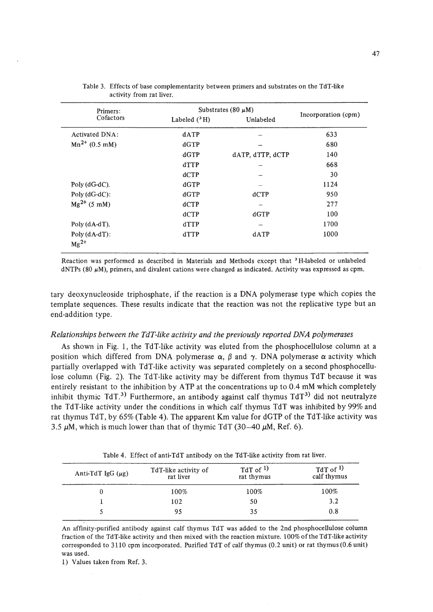| Primers:                     | Substrates (80 $\mu$ M) |                          |                     |
|------------------------------|-------------------------|--------------------------|---------------------|
| Cofactors                    | Labeled $(^3H)$         | Unlabeled                | Incorporation (cpm) |
| Activated DNA:               | dATP                    |                          | 633                 |
| $Mn^{2+}$ (0.5 mM)           | dGTP                    |                          | 680                 |
|                              | dGTP                    | dATP, dTTP, dCTP         | 140                 |
|                              | dTTP                    |                          | 668                 |
|                              | dCTP                    |                          | 30                  |
| Poly $(dG-dC)$ .             | dGTP                    |                          | 1124                |
| Poly $(dG-dC)$ :             | dGTP                    | dCTP                     | 950                 |
| $Mg^{2+}$ (5 mM)             | dCTP                    | -                        | 277                 |
|                              | dCTP                    | dGTP                     | 100                 |
| Poly $(dA-dT)$ .             | dTTP                    | $\overline{\phantom{a}}$ | 1700                |
| $Poly(dA-dT)$ :<br>$Mg^{2+}$ | dTTP                    | dATP                     | 1000                |

Table 3. Effects of base complementarity between primers and substrates on the TdT-like activity from rat liver.

Reaction was performed as described in Materials and Methods except that <sup>3</sup> H-Iabeled or unlabeled  $dNTPs$  (80  $\mu$ M), primers, and divalent cations were changed as indicated. Activity was expressed as cpm.

tary deoxynucleoside triphosphate, if the reaction is a DNA polymerase type which copies the template sequences. These results indicate that the reaction was not the replicative type but an end-addition type.

#### *Relationships between the TdT-like activity and the previously reported DNA polymerases*

As shown in Fig. I, the TdT-like activity was eluted from the phosphocellulose column at a position which differed from DNA polymerase  $\alpha$ ,  $\beta$  and  $\gamma$ . DNA polymerase  $\alpha$  activity which partially overlapped with TdT-like activity was separated completely on a second phosphocellulose column (Fig. 2). The TdT-like activity may be different from thymus TdT because it was entirely resistant to the inhibition by ATP at the concentrations up to 0.4 mM which completely inhibit thymic TdT.<sup>3)</sup> Furthermore, an antibody against calf thymus  $TdT<sup>3</sup>$  did not neutralyze the TdT-like activity under the conditions in which calf thymus TdT was inhibited by 99% and rat thymus TdT, by 65% (Table 4). The apparent Km value for dGTP of the TdT-like activity was 3.5  $\mu$ M, which is much lower than that of thymic TdT (30–40  $\mu$ M, Ref. 6).

Table 4. Effect of anti-TdT antibody on the TdT-like activity from rat liver.

| Anti-TdT IgG $(\mu$ g) | TdT-like activity of<br>rat liver | $TdT$ of $1$ )<br>rat thymus | $TdT$ of $1$ )<br>calf thymus |
|------------------------|-----------------------------------|------------------------------|-------------------------------|
|                        | 100%                              | 100%                         | 100%                          |
|                        | 102                               | 50                           | 3.2                           |
|                        | 95                                | 35                           | 0.8                           |

An affinity-purified antibody against calf thymus TdT was added to the 2nd phosphocellulose column fraction of the TdT-like activity and then mixed with the reaction mixture. 100% ofthe TdT-like activity corresponded to 3110 cpm incorporated. Purified TdT of calf thymus (0.2 unit) or rat thymus (0.6 unit) was used.

1) Values taken from Ref. 3.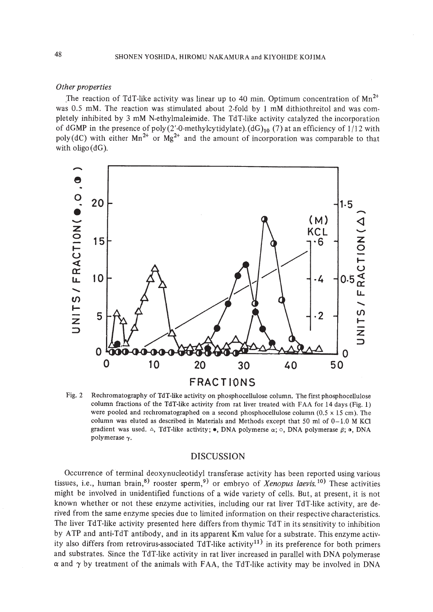#### *Other properties*

The reaction of TdT-like activity was linear up to 40 min. Optimum concentration of  $Mn^{2+}$ was 0.5 mM. The reaction was stimulated about 2-fold by 1 mM dithiothreitol and was completely inhibited by 3 mM N-ethylmaleimide. The TdT-like activity catalyzed the incorporation of dGMP in the presence of poly (2'-0-methylcytidylate).(dG)<sub>10</sub> (7) at an efficiency of  $1/12$  with poly(dC) with either  $Mn^{2+}$  or  $Mg^{2+}$  and the amount of incorporation was comparable to that with oligo  $(dG)$ .



Fig. 2 Rechromatography of TdT-like activity on phosphocellulose column. The first phosphocellulose column fractions of the TdT-like activity from rat liver treated with FAA for 14 days (Fig. 1) were pooled and rechromatographed on a second phosphocellulose column  $(0.5 \times 15 \text{ cm})$ . The column was eluted as described in Materials and Methods except that 50 ml of  $0-1.0$  M KCl gradient was used.  $\Delta$ , TdT-like activity; **.**, DNA polymerse  $\alpha$ ;  $\circ$ , DNA polymerase  $\beta$ ; **.**, DNA polymerase  $\gamma$ .

## DISCUSSION

Occurrence of terminal deoxynucleotidyl transferase activity has been reported using various tissues, i.e., human brain,<sup>8)</sup> rooster sperm,<sup>9)</sup> or embryo of *Xenopus laevis*.<sup>10</sup> These activities might be involved in unidentified functions of a wide variety of cells. But, at present, it is not known whether or not these enzyme activities, including our rat liver TdT-like activity, are derived from the same enzyme species due to limited information on their respective characteristics. The liver TdT-like activity presented here differs from thymic TdT in its sensitivity to inhibition by ATP and anti-TdT antibody, and in its apparent Km value for a substrate. This enzyme activity also differs from retrovirus-associated TdT-like activity<sup>11)</sup> in its preference for both primers and substrates. Since the TdT-like activity in rat liver increased in parallel with DNA polymerase  $\alpha$  and  $\gamma$  by treatment of the animals with FAA, the TdT-like activity may be involved in DNA